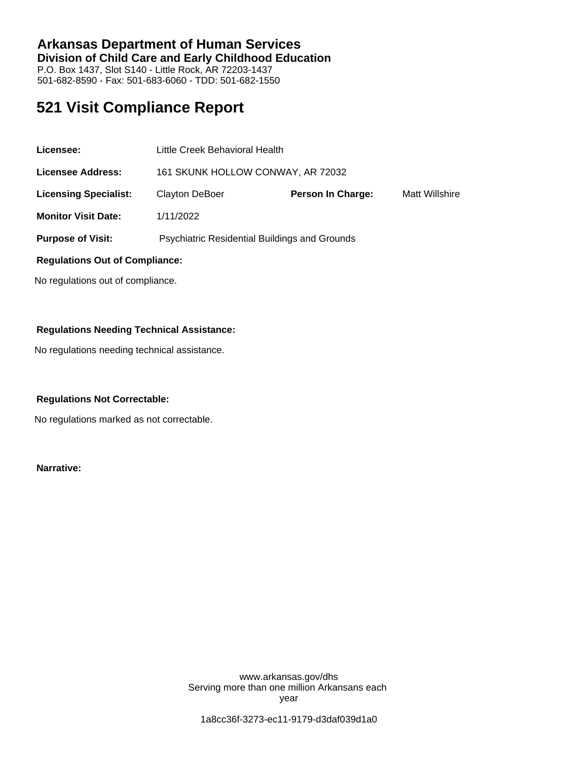### **Arkansas Department of Human Services Division of Child Care and Early Childhood Education** P.O. Box 1437, Slot S140 - Little Rock, AR 72203-1437 501-682-8590 - Fax: 501-683-6060 - TDD: 501-682-1550

# **521 Visit Compliance Report**

| Licensee:                             | Little Creek Behavioral Health                |                          |                |
|---------------------------------------|-----------------------------------------------|--------------------------|----------------|
| <b>Licensee Address:</b>              | 161 SKUNK HOLLOW CONWAY, AR 72032             |                          |                |
| <b>Licensing Specialist:</b>          | <b>Clayton DeBoer</b>                         | <b>Person In Charge:</b> | Matt Willshire |
| <b>Monitor Visit Date:</b>            | 1/11/2022                                     |                          |                |
| <b>Purpose of Visit:</b>              | Psychiatric Residential Buildings and Grounds |                          |                |
| <b>Regulations Out of Compliance:</b> |                                               |                          |                |

No regulations out of compliance.

### **Regulations Needing Technical Assistance:**

No regulations needing technical assistance.

#### **Regulations Not Correctable:**

No regulations marked as not correctable.

**Narrative:**

www.arkansas.gov/dhs Serving more than one million Arkansans each year

1a8cc36f-3273-ec11-9179-d3daf039d1a0